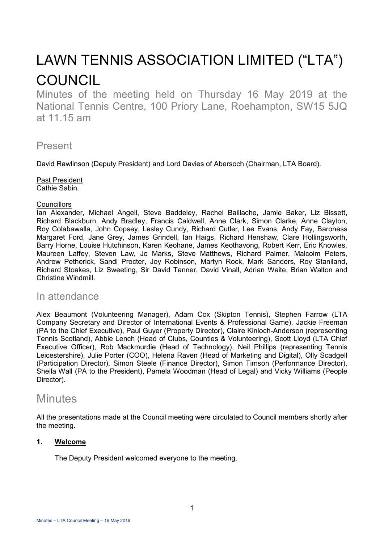# LAWN TENNIS ASSOCIATION LIMITED ("LTA") COUNCIL

Minutes of the meeting held on Thursday 16 May 2019 at the National Tennis Centre, 100 Priory Lane, Roehampton, SW15 5JQ at 11.15 am

# Present

David Rawlinson (Deputy President) and Lord Davies of Abersoch (Chairman, LTA Board).

#### Past President Cathie Sabin.

#### **Councillors**

Ian Alexander, Michael Angell, Steve Baddeley, Rachel Baillache, Jamie Baker, Liz Bissett, Richard Blackburn, Andy Bradley, Francis Caldwell, Anne Clark, Simon Clarke, Anne Clayton, Roy Colabawalla, John Copsey, Lesley Cundy, Richard Cutler, Lee Evans, Andy Fay, Baroness Margaret Ford, Jane Grey, James Grindell, Ian Haigs, Richard Henshaw, Clare Hollingsworth, Barry Horne, Louise Hutchinson, Karen Keohane, James Keothavong, Robert Kerr, Eric Knowles, Maureen Laffey, Steven Law, Jo Marks, Steve Matthews, Richard Palmer, Malcolm Peters, Andrew Petherick, Sandi Procter, Joy Robinson, Martyn Rock, Mark Sanders, Roy Staniland, Richard Stoakes, Liz Sweeting, Sir David Tanner, David Vinall, Adrian Waite, Brian Walton and Christine Windmill.

# In attendance

Alex Beaumont (Volunteering Manager), Adam Cox (Skipton Tennis), Stephen Farrow (LTA Company Secretary and Director of International Events & Professional Game), Jackie Freeman (PA to the Chief Executive), Paul Guyer (Property Director), Claire Kinloch-Anderson (representing Tennis Scotland), Abbie Lench (Head of Clubs, Counties & Volunteering), Scott Lloyd (LTA Chief Executive Officer), Rob Mackmurdie (Head of Technology), Neil Phillips (representing Tennis Leicestershire), Julie Porter (COO), Helena Raven (Head of Marketing and Digital), Olly Scadgell (Participation Director), Simon Steele (Finance Director), Simon Timson (Performance Director), Sheila Wall (PA to the President), Pamela Woodman (Head of Legal) and Vicky Williams (People Director).

# **Minutes**

All the presentations made at the Council meeting were circulated to Council members shortly after the meeting.

# **1. Welcome**

The Deputy President welcomed everyone to the meeting.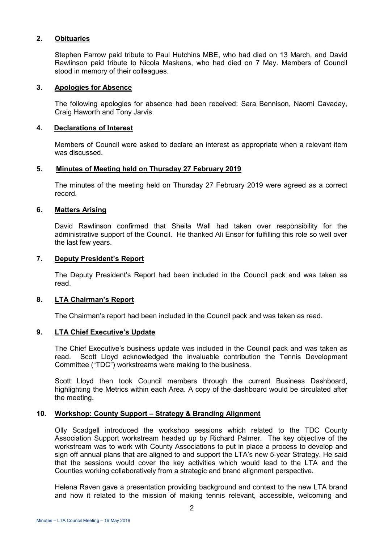## **2. Obituaries**

Stephen Farrow paid tribute to Paul Hutchins MBE, who had died on 13 March, and David Rawlinson paid tribute to Nicola Maskens, who had died on 7 May. Members of Council stood in memory of their colleagues.

#### **3. Apologies for Absence**

The following apologies for absence had been received: Sara Bennison, Naomi Cavaday, Craig Haworth and Tony Jarvis.

#### **4. Declarations of Interest**

Members of Council were asked to declare an interest as appropriate when a relevant item was discussed.

## **5. Minutes of Meeting held on Thursday 27 February 2019**

The minutes of the meeting held on Thursday 27 February 2019 were agreed as a correct record.

## **6. Matters Arising**

David Rawlinson confirmed that Sheila Wall had taken over responsibility for the administrative support of the Council. He thanked Ali Ensor for fulfilling this role so well over the last few years.

# **7. Deputy President's Report**

The Deputy President's Report had been included in the Council pack and was taken as read.

## **8. LTA Chairman's Report**

The Chairman's report had been included in the Council pack and was taken as read.

## **9. LTA Chief Executive's Update**

The Chief Executive's business update was included in the Council pack and was taken as read. Scott Lloyd acknowledged the invaluable contribution the Tennis Development Committee ("TDC") workstreams were making to the business.

Scott Lloyd then took Council members through the current Business Dashboard, highlighting the Metrics within each Area. A copy of the dashboard would be circulated after the meeting.

# **10. Workshop: County Support – Strategy & Branding Alignment**

Olly Scadgell introduced the workshop sessions which related to the TDC County Association Support workstream headed up by Richard Palmer. The key objective of the workstream was to work with County Associations to put in place a process to develop and sign off annual plans that are aligned to and support the LTA's new 5-year Strategy. He said that the sessions would cover the key activities which would lead to the LTA and the Counties working collaboratively from a strategic and brand alignment perspective.

Helena Raven gave a presentation providing background and context to the new LTA brand and how it related to the mission of making tennis relevant, accessible, welcoming and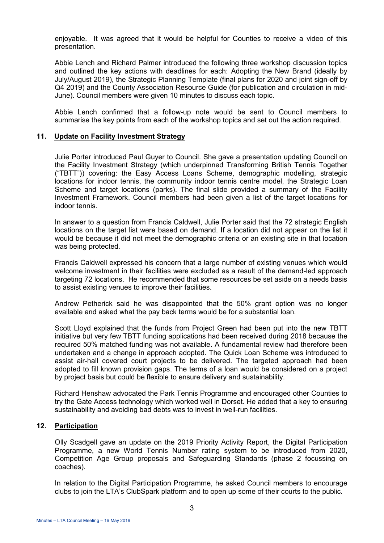enjoyable. It was agreed that it would be helpful for Counties to receive a video of this presentation.

Abbie Lench and Richard Palmer introduced the following three workshop discussion topics and outlined the key actions with deadlines for each: Adopting the New Brand (ideally by July/August 2019), the Strategic Planning Template (final plans for 2020 and joint sign-off by Q4 2019) and the County Association Resource Guide (for publication and circulation in mid-June). Council members were given 10 minutes to discuss each topic.

Abbie Lench confirmed that a follow-up note would be sent to Council members to summarise the key points from each of the workshop topics and set out the action required.

#### **11. Update on Facility Investment Strategy**

Julie Porter introduced Paul Guyer to Council. She gave a presentation updating Council on the Facility Investment Strategy (which underpinned Transforming British Tennis Together ("TBTT")) covering: the Easy Access Loans Scheme, demographic modelling, strategic locations for indoor tennis, the community indoor tennis centre model, the Strategic Loan Scheme and target locations (parks). The final slide provided a summary of the Facility Investment Framework. Council members had been given a list of the target locations for indoor tennis.

In answer to a question from Francis Caldwell, Julie Porter said that the 72 strategic English locations on the target list were based on demand. If a location did not appear on the list it would be because it did not meet the demographic criteria or an existing site in that location was being protected.

Francis Caldwell expressed his concern that a large number of existing venues which would welcome investment in their facilities were excluded as a result of the demand-led approach targeting 72 locations. He recommended that some resources be set aside on a needs basis to assist existing venues to improve their facilities.

Andrew Petherick said he was disappointed that the 50% grant option was no longer available and asked what the pay back terms would be for a substantial loan.

Scott Lloyd explained that the funds from Project Green had been put into the new TBTT initiative but very few TBTT funding applications had been received during 2018 because the required 50% matched funding was not available. A fundamental review had therefore been undertaken and a change in approach adopted. The Quick Loan Scheme was introduced to assist air-hall covered court projects to be delivered. The targeted approach had been adopted to fill known provision gaps. The terms of a loan would be considered on a project by project basis but could be flexible to ensure delivery and sustainability.

Richard Henshaw advocated the Park Tennis Programme and encouraged other Counties to try the Gate Access technology which worked well in Dorset. He added that a key to ensuring sustainability and avoiding bad debts was to invest in well-run facilities.

## **12. Participation**

Olly Scadgell gave an update on the 2019 Priority Activity Report, the Digital Participation Programme, a new World Tennis Number rating system to be introduced from 2020, Competition Age Group proposals and Safeguarding Standards (phase 2 focussing on coaches).

In relation to the Digital Participation Programme, he asked Council members to encourage clubs to join the LTA's ClubSpark platform and to open up some of their courts to the public.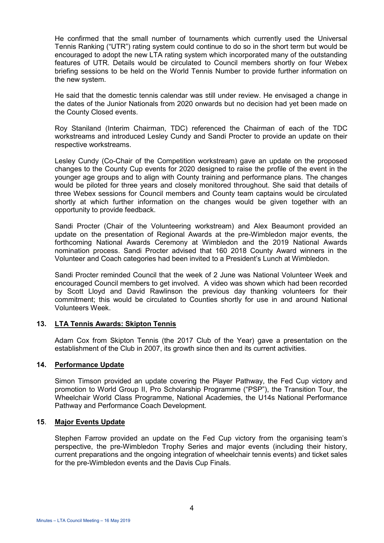He confirmed that the small number of tournaments which currently used the Universal Tennis Ranking ("UTR") rating system could continue to do so in the short term but would be encouraged to adopt the new LTA rating system which incorporated many of the outstanding features of UTR. Details would be circulated to Council members shortly on four Webex briefing sessions to be held on the World Tennis Number to provide further information on the new system.

He said that the domestic tennis calendar was still under review. He envisaged a change in the dates of the Junior Nationals from 2020 onwards but no decision had yet been made on the County Closed events.

Roy Staniland (Interim Chairman, TDC) referenced the Chairman of each of the TDC workstreams and introduced Lesley Cundy and Sandi Procter to provide an update on their respective workstreams.

Lesley Cundy (Co-Chair of the Competition workstream) gave an update on the proposed changes to the County Cup events for 2020 designed to raise the profile of the event in the younger age groups and to align with County training and performance plans. The changes would be piloted for three years and closely monitored throughout. She said that details of three Webex sessions for Council members and County team captains would be circulated shortly at which further information on the changes would be given together with an opportunity to provide feedback.

Sandi Procter (Chair of the Volunteering workstream) and Alex Beaumont provided an update on the presentation of Regional Awards at the pre-Wimbledon major events, the forthcoming National Awards Ceremony at Wimbledon and the 2019 National Awards nomination process. Sandi Procter advised that 160 2018 County Award winners in the Volunteer and Coach categories had been invited to a President's Lunch at Wimbledon.

Sandi Procter reminded Council that the week of 2 June was National Volunteer Week and encouraged Council members to get involved. A video was shown which had been recorded by Scott Lloyd and David Rawlinson the previous day thanking volunteers for their commitment; this would be circulated to Counties shortly for use in and around National Volunteers Week.

## **13. LTA Tennis Awards: Skipton Tennis**

Adam Cox from Skipton Tennis (the 2017 Club of the Year) gave a presentation on the establishment of the Club in 2007, its growth since then and its current activities.

# **14. Performance Update**

Simon Timson provided an update covering the Player Pathway, the Fed Cup victory and promotion to World Group II, Pro Scholarship Programme ("PSP"), the Transition Tour, the Wheelchair World Class Programme, National Academies, the U14s National Performance Pathway and Performance Coach Development.

#### **15**. **Major Events Update**

 Stephen Farrow provided an update on the Fed Cup victory from the organising team's perspective, the pre-Wimbledon Trophy Series and major events (including their history, current preparations and the ongoing integration of wheelchair tennis events) and ticket sales for the pre-Wimbledon events and the Davis Cup Finals.